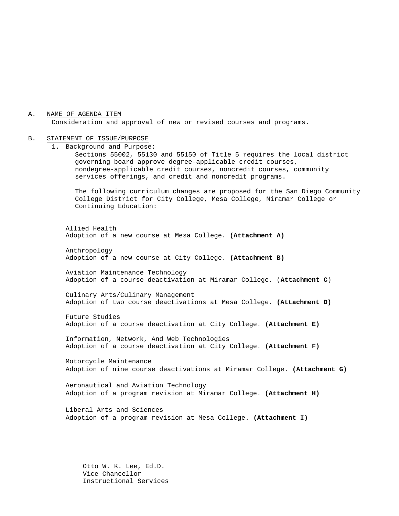A. NAME OF AGENDA ITEM

Consideration and approval of new or revised courses and programs.

#### B. STATEMENT OF ISSUE/PURPOSE

1. Background and Purpose:

Sections 55002, 55130 and 55150 of Title 5 requires the local district governing board approve degree-applicable credit courses, nondegree-applicable credit courses, noncredit courses, community services offerings, and credit and noncredit programs.

The following curriculum changes are proposed for the San Diego Community College District for City College, Mesa College, Miramar College or Continuing Education:

Allied Health Adoption of a new course at Mesa College. **(Attachment A)**

Anthropology Adoption of a new course at City College. **(Attachment B)**

Aviation Maintenance Technology Adoption of a course deactivation at Miramar College. (**Attachment C**)

Culinary Arts/Culinary Management Adoption of two course deactivations at Mesa College. **(Attachment D)**

Future Studies Adoption of a course deactivation at City College. **(Attachment E)**

Information, Network, And Web Technologies Adoption of a course deactivation at City College. **(Attachment F)**

Motorcycle Maintenance Adoption of nine course deactivations at Miramar College. **(Attachment G)**

Aeronautical and Aviation Technology Adoption of a program revision at Miramar College. **(Attachment H)**

Liberal Arts and Sciences Adoption of a program revision at Mesa College. **(Attachment I)**

Otto W. K. Lee, Ed.D. Vice Chancellor Instructional Services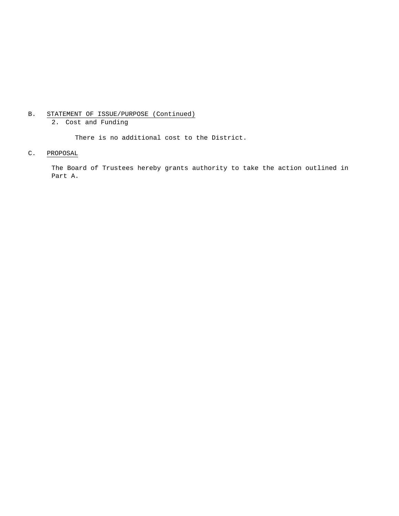## B. STATEMENT OF ISSUE/PURPOSE (Continued)

2. Cost and Funding

There is no additional cost to the District.

## C. PROPOSAL

The Board of Trustees hereby grants authority to take the action outlined in Part A.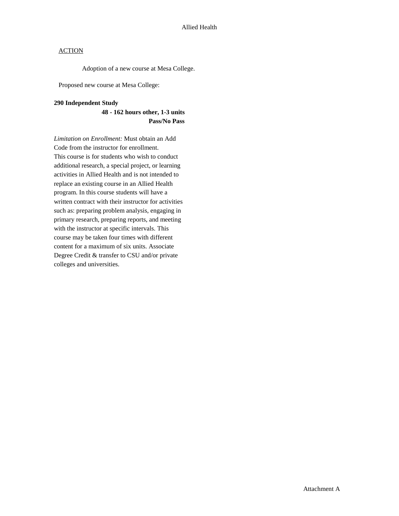Adoption of a new course at Mesa College.

Proposed new course at Mesa College:

#### **290 Independent Study**

## **48 - 162 hours other, 1-3 units Pass/No Pass**

*Limitation on Enrollment:* Must obtain an Add Code from the instructor for enrollment. This course is for students who wish to conduct additional research, a special project, or learning activities in Allied Health and is not intended to replace an existing course in an Allied Health program. In this course students will have a written contract with their instructor for activities such as: preparing problem analysis, engaging in primary research, preparing reports, and meeting with the instructor at specific intervals. This course may be taken four times with different content for a maximum of six units. Associate Degree Credit & transfer to CSU and/or private colleges and universities.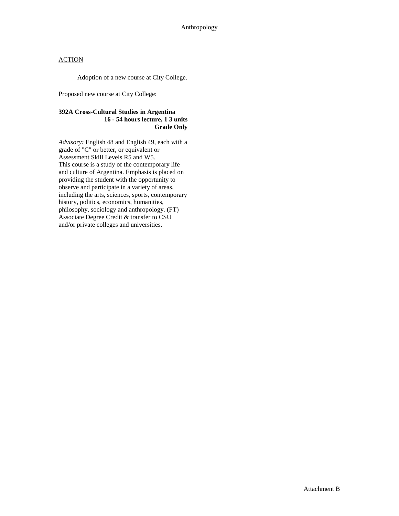Adoption of a new course at City College.

Proposed new course at City College:

#### **392A Cross-Cultural Studies in Argentina 16 - 54 hours lecture, 1 3 units Grade Only**

*Advisory:* English 48 and English 49, each with a grade of "C" or better, or equivalent or Assessment Skill Levels R5 and W5. This course is a study of the contemporary life and culture of Argentina. Emphasis is placed on providing the student with the opportunity to observe and participate in a variety of areas, including the arts, sciences, sports, contemporary history, politics, economics, humanities, philosophy, sociology and anthropology. (FT) Associate Degree Credit & transfer to CSU and/or private colleges and universities.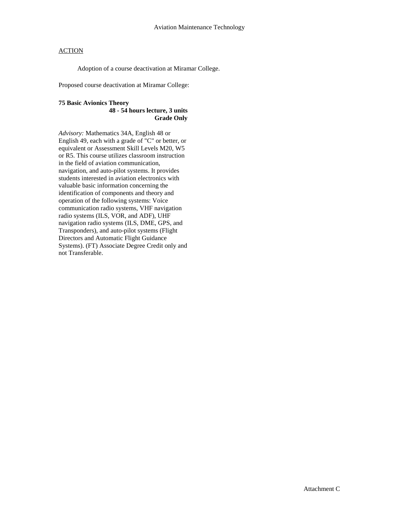Adoption of a course deactivation at Miramar College.

Proposed course deactivation at Miramar College:

## **75 Basic Avionics Theory**

#### **48 - 54 hours lecture, 3 units Grade Only**

*Advisory:* Mathematics 34A, English 48 or English 49, each with a grade of "C" or better, or equivalent or Assessment Skill Levels M20, W5 or R5. This course utilizes classroom instruction in the field of aviation communication, navigation, and auto-pilot systems. It provides students interested in aviation electronics with valuable basic information concerning the identification of components and theory and operation of the following systems: Voice communication radio systems, VHF navigation radio systems (ILS, VOR, and ADF), UHF navigation radio systems (ILS, DME, GPS, and Transponders), and auto-pilot systems (Flight Directors and Automatic Flight Guidance Systems). (FT) Associate Degree Credit only and not Transferable.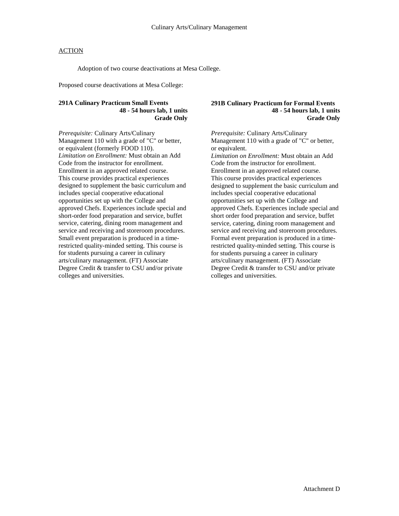Adoption of two course deactivations at Mesa College.

Proposed course deactivations at Mesa College:

## **291A Culinary Practicum Small Events 48 - 54 hours lab, 1 units Grade Only**

*Prerequisite:* Culinary Arts/Culinary Management 110 with a grade of "C" or better, or equivalent (formerly FOOD 110). *Limitation on Enrollment:* Must obtain an Add Code from the instructor for enrollment. Enrollment in an approved related course. This course provides practical experiences designed to supplement the basic curriculum and includes special cooperative educational opportunities set up with the College and approved Chefs. Experiences include special and short-order food preparation and service, buffet service, catering, dining room management and service and receiving and storeroom procedures. Small event preparation is produced in a timerestricted quality-minded setting. This course is for students pursuing a career in culinary arts/culinary management. (FT) Associate Degree Credit & transfer to CSU and/or private colleges and universities.

#### **291B Culinary Practicum for Formal Events 48 - 54 hours lab, 1 units Grade Only**

*Prerequisite:* Culinary Arts/Culinary Management 110 with a grade of "C" or better, or equivalent. *Limitation on Enrollment:* Must obtain an Add Code from the instructor for enrollment. Enrollment in an approved related course. This course provides practical experiences designed to supplement the basic curriculum and includes special cooperative educational opportunities set up with the College and approved Chefs. Experiences include special and short order food preparation and service, buffet service, catering, dining room management and service and receiving and storeroom procedures. Formal event preparation is produced in a timerestricted quality-minded setting. This course is for students pursuing a career in culinary arts/culinary management. (FT) Associate Degree Credit & transfer to CSU and/or private colleges and universities.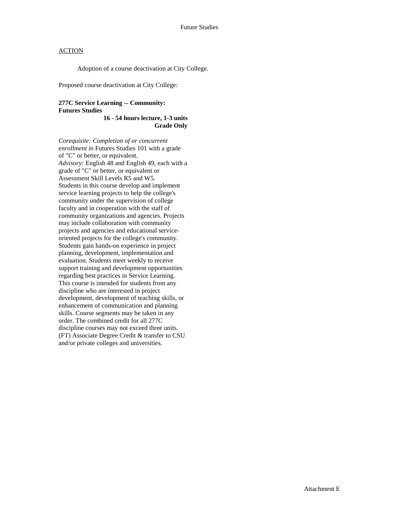Adoption of a course deactivation at City College.

Proposed course deactivation at City College:

### **277C Service Learning -- Community: Futures Studies**

**16 - 54 hours lecture, 1-3 units Grade Only** 

*Corequisite: Completion of or concurrent enrollment in* Futures Studies 101 with a grade of "C" or better, or equivalent. *Advisory:* English 48 and English 49, each with a grade of "C" or better, or equivalent or Assessment Skill Levels R5 and W5. Students in this course develop and implement service learning projects to help the college's community under the supervision of college faculty and in cooperation with the staff of community organizations and agencies. Projects may include collaboration with community projects and agencies and educational serviceoriented projects for the college's community. Students gain hands-on experience in project planning, development, implementation and evaluation. Students meet weekly to receive support training and development opportunities regarding best practices in Service Learning. This course is intended for students from any discipline who are interested in project development, development of teaching skills, or enhancement of communication and planning skills. Course segments may be taken in any order. The combined credit for all 277C discipline courses may not exceed three units. (FT) Associate Degree Credit & transfer to CSU and/or private colleges and universities.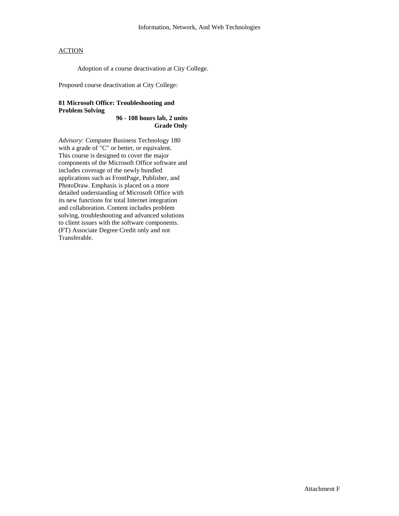Adoption of a course deactivation at City College.

Proposed course deactivation at City College:

## **81 Microsoft Office: Troubleshooting and Problem Solving**

**96 - 108 hours lab, 2 units Grade Only**

*Advisory:* Computer Business Technology 180 with a grade of "C" or better, or equivalent. This course is designed to cover the major components of the Microsoft Office software and includes coverage of the newly bundled applications such as FrontPage, Publisher, and PhotoDraw. Emphasis is placed on a more detailed understanding of Microsoft Office with its new functions for total Internet integration and collaboration. Content includes problem solving, troubleshooting and advanced solutions to client issues with the software components. (FT) Associate Degree Credit only and not Transferable.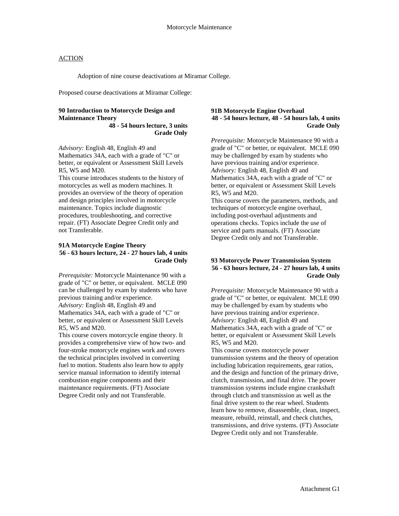Adoption of nine course deactivations at Miramar College.

Proposed course deactivations at Miramar College:

#### **90 Introduction to Motorcycle Design and Maintenance Theory 48 - 54 hours lecture, 3 units**

**Grade Only**

*Advisory:* English 48, English 49 and Mathematics 34A, each with a grade of "C" or better, or equivalent or Assessment Skill Levels R5, W5 and M20.

This course introduces students to the history of motorcycles as well as modern machines. It provides an overview of the theory of operation and design principles involved in motorcycle maintenance. Topics include diagnostic procedures, troubleshooting, and corrective repair. (FT) Associate Degree Credit only and not Transferable.

#### **91A Motorcycle Engine Theory 56 - 63 hours lecture, 24 - 27 hours lab, 4 units Grade Only**

*Prerequisite:* Motorcycle Maintenance 90 with a grade of "C" or better, or equivalent. MCLE 090 can be challenged by exam by students who have previous training and/or experience. *Advisory:* English 48, English 49 and Mathematics 34A, each with a grade of "C" or better, or equivalent or Assessment Skill Levels R5, W5 and M20.

This course covers motorcycle engine theory. It provides a comprehensive view of how two- and four-stroke motorcycle engines work and covers the technical principles involved in converting fuel to motion. Students also learn how to apply service manual information to identify internal combustion engine components and their maintenance requirements. (FT) Associate Degree Credit only and not Transferable.

#### **91B Motorcycle Engine Overhaul 48 - 54 hours lecture, 48 - 54 hours lab, 4 units Grade Only**

*Prerequisite:* Motorcycle Maintenance 90 with a grade of "C" or better, or equivalent. MCLE 090 may be challenged by exam by students who have previous training and/or experience. *Advisory:* English 48, English 49 and Mathematics 34A, each with a grade of "C" or better, or equivalent or Assessment Skill Levels R5, W5 and M20.

This course covers the parameters, methods, and techniques of motorcycle engine overhaul, including post-overhaul adjustments and operations checks. Topics include the use of service and parts manuals. (FT) Associate Degree Credit only and not Transferable.

### **93 Motorcycle Power Transmission System 56 - 63 hours lecture, 24 - 27 hours lab, 4 units Grade Only**

*Prerequisite:* Motorcycle Maintenance 90 with a grade of "C" or better, or equivalent. MCLE 090 may be challenged by exam by students who have previous training and/or experience. *Advisory:* English 48, English 49 and Mathematics 34A, each with a grade of "C" or better, or equivalent or Assessment Skill Levels R5, W5 and M20.

This course covers motorcycle power transmission systems and the theory of operation including lubrication requirements, gear ratios, and the design and function of the primary drive, clutch, transmission, and final drive. The power transmission systems include engine crankshaft through clutch and transmission as well as the final drive system to the rear wheel. Students learn how to remove, disassemble, clean, inspect, measure, rebuild, reinstall, and check clutches, transmissions, and drive systems. (FT) Associate Degree Credit only and not Transferable.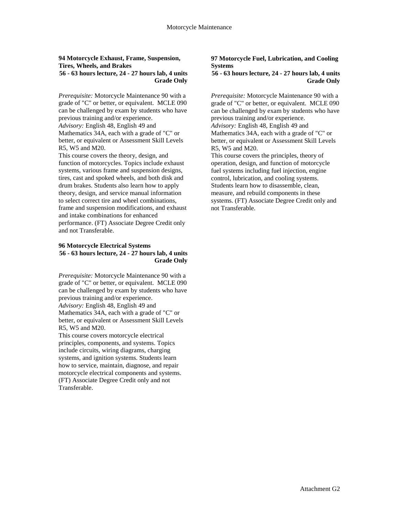#### **94 Motorcycle Exhaust, Frame, Suspension, Tires, Wheels, and Brakes 56 - 63 hours lecture, 24 - 27 hours lab, 4 units Grade Only**

*Prerequisite:* Motorcycle Maintenance 90 with a grade of "C" or better, or equivalent. MCLE 090 can be challenged by exam by students who have previous training and/or experience. *Advisory:* English 48, English 49 and Mathematics 34A, each with a grade of "C" or better, or equivalent or Assessment Skill Levels R5, W5 and M20.

This course covers the theory, design, and function of motorcycles. Topics include exhaust systems, various frame and suspension designs, tires, cast and spoked wheels, and both disk and drum brakes. Students also learn how to apply theory, design, and service manual information to select correct tire and wheel combinations, frame and suspension modifications, and exhaust and intake combinations for enhanced performance. (FT) Associate Degree Credit only and not Transferable.

#### **96 Motorcycle Electrical Systems 56 - 63 hours lecture, 24 - 27 hours lab, 4 units Grade Only**

*Prerequisite:* Motorcycle Maintenance 90 with a grade of "C" or better, or equivalent. MCLE 090 can be challenged by exam by students who have previous training and/or experience. *Advisory:* English 48, English 49 and Mathematics 34A, each with a grade of "C" or better, or equivalent or Assessment Skill Levels R5, W5 and M20.

This course covers motorcycle electrical principles, components, and systems. Topics include circuits, wiring diagrams, charging systems, and ignition systems. Students learn how to service, maintain, diagnose, and repair motorcycle electrical components and systems. (FT) Associate Degree Credit only and not Transferable.

#### **97 Motorcycle Fuel, Lubrication, and Cooling Systems**

#### **56 - 63 hours lecture, 24 - 27 hours lab, 4 units Grade Only**

*Prerequisite:* Motorcycle Maintenance 90 with a grade of "C" or better, or equivalent. MCLE 090 can be challenged by exam by students who have previous training and/or experience. *Advisory:* English 48, English 49 and

Mathematics 34A, each with a grade of "C" or better, or equivalent or Assessment Skill Levels R5, W5 and M20.

This course covers the principles, theory of operation, design, and function of motorcycle fuel systems including fuel injection, engine control, lubrication, and cooling systems. Students learn how to disassemble, clean, measure, and rebuild components in these systems. (FT) Associate Degree Credit only and not Transferable.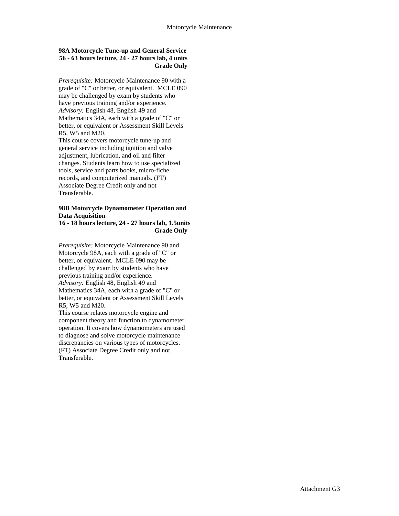### **98A Motorcycle Tune-up and General Service 56 - 63 hours lecture, 24 - 27 hours lab, 4 units Grade Only**

*Prerequisite:* Motorcycle Maintenance 90 with a grade of "C" or better, or equivalent. MCLE 090 may be challenged by exam by students who have previous training and/or experience. *Advisory:* English 48, English 49 and Mathematics 34A, each with a grade of "C" or better, or equivalent or Assessment Skill Levels R5, W5 and M20.

This course covers motorcycle tune-up and general service including ignition and valve adjustment, lubrication, and oil and filter changes. Students learn how to use specialized tools, service and parts books, micro-fiche records, and computerized manuals. (FT) Associate Degree Credit only and not Transferable.

## **98B Motorcycle Dynamometer Operation and Data Acquisition**

#### **16 - 18 hours lecture, 24 - 27 hours lab, 1.5units Grade Only**

*Prerequisite:* Motorcycle Maintenance 90 and Motorcycle 98A, each with a grade of "C" or better, or equivalent. MCLE 090 may be challenged by exam by students who have previous training and/or experience. *Advisory:* English 48, English 49 and Mathematics 34A, each with a grade of "C" or better, or equivalent or Assessment Skill Levels R5, W5 and M20.

This course relates motorcycle engine and component theory and function to dynamometer operation. It covers how dynamometers are used to diagnose and solve motorcycle maintenance discrepancies on various types of motorcycles. (FT) Associate Degree Credit only and not Transferable.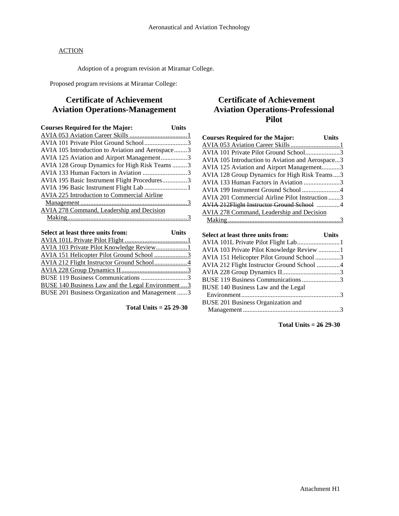Adoption of a program revision at Miramar College.

Proposed program revisions at Miramar College:

# **Certificate of Achievement Aviation Operations-Management**

| <b>Courses Required for the Major:</b>           | <b>Units</b> |
|--------------------------------------------------|--------------|
|                                                  |              |
|                                                  |              |
| AVIA 105 Introduction to Aviation and Aerospace3 |              |
| AVIA 125 Aviation and Airport Management3        |              |
| AVIA 128 Group Dynamics for High Risk Teams 3    |              |
| AVIA 133 Human Factors in Aviation 3             |              |
| AVIA 195 Basic Instrument Flight Procedures3     |              |
|                                                  |              |
| AVIA 225 Introduction to Commercial Airline      |              |
|                                                  |              |
| AVIA 278 Command, Leadership and Decision        |              |
|                                                  |              |
|                                                  |              |
|                                                  |              |

| <b>Example 1</b> Units<br>Select at least three units from: |  |
|-------------------------------------------------------------|--|
|                                                             |  |
|                                                             |  |
|                                                             |  |
|                                                             |  |
|                                                             |  |
|                                                             |  |
| <b>BUSE 140 Business Law and the Legal Environment3</b>     |  |
| BUSE 201 Business Organization and Management 3             |  |
|                                                             |  |

**Total Units = 25 29-30**

# **Certificate of Achievement Aviation Operations-Professional Pilot**

| <b>Courses Required for the Major:</b><br><b>Units</b> |  |
|--------------------------------------------------------|--|
|                                                        |  |
| AVIA 101 Private Pilot Ground School3                  |  |
| AVIA 105 Introduction to Aviation and Aerospace3       |  |
| AVIA 125 Aviation and Airport Management3              |  |
| AVIA 128 Group Dynamics for High Risk Teams3           |  |
| AVIA 133 Human Factors in Aviation 3                   |  |
| AVIA 199 Instrument Ground School 4                    |  |
| AVIA 201 Commercial Airline Pilot Instruction3         |  |
| AVIA 212Flight Instructor Ground School 4              |  |
| AVIA 278 Command, Leadership and Decision              |  |
|                                                        |  |
|                                                        |  |
|                                                        |  |
| Select at least three units from:<br><b>Units</b>      |  |
|                                                        |  |
| AVIA 103 Private Pilot Knowledge Review 1              |  |
| AVIA 151 Helicopter Pilot Ground School3               |  |
| AVIA 212 Flight Instructor Ground School 4             |  |
|                                                        |  |
| BUSE 119 Business Communications 3                     |  |
| BUSE 140 Business Law and the Legal                    |  |
|                                                        |  |
| <b>BUSE 201 Business Organization and</b>              |  |

**Total Units = 26 29-30**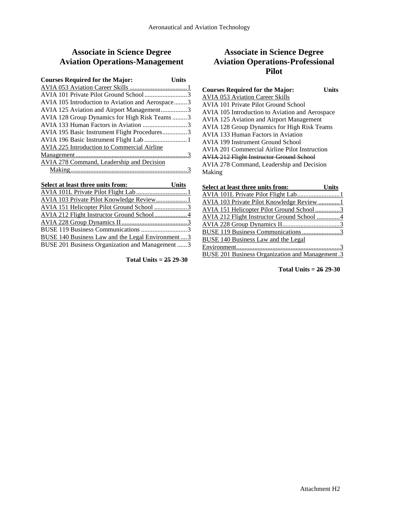# **Associate in Science Degree Aviation Operations-Management**

| <b>Courses Required for the Major:</b>             | Units |
|----------------------------------------------------|-------|
|                                                    |       |
| AVIA 101 Private Pilot Ground School3              |       |
| AVIA 105 Introduction to Aviation and Aerospace3   |       |
| AVIA 125 Aviation and Airport Management3          |       |
| AVIA 128 Group Dynamics for High Risk Teams3       |       |
| AVIA 133 Human Factors in Aviation 3               |       |
| AVIA 195 Basic Instrument Flight Procedures3       |       |
|                                                    |       |
| <b>AVIA 225 Introduction to Commercial Airline</b> |       |
|                                                    |       |
| AVIA 278 Command, Leadership and Decision          |       |
|                                                    |       |

| Select at least three units from:                       | <b>Units</b> |
|---------------------------------------------------------|--------------|
|                                                         |              |
|                                                         |              |
|                                                         |              |
|                                                         |              |
|                                                         |              |
| BUSE 119 Business Communications 3                      |              |
| <b>BUSE 140 Business Law and the Legal Environment3</b> |              |
| BUSE 201 Business Organization and Management 3         |              |

**Total Units = 25 29-30**

# **Associate in Science Degree Aviation Operations-Professional Pilot**

| <b>Courses Required for the Major:</b>             | Units |
|----------------------------------------------------|-------|
| <b>AVIA 053 Aviation Career Skills</b>             |       |
| AVIA 101 Private Pilot Ground School               |       |
| AVIA 105 Introduction to Aviation and Aerospace    |       |
| <b>AVIA 125 Aviation and Airport Management</b>    |       |
| <b>AVIA 128 Group Dynamics for High Risk Teams</b> |       |
| AVIA 133 Human Factors in Aviation                 |       |
| <b>AVIA 199 Instrument Ground School</b>           |       |
| AVIA 201 Commercial Airline Pilot Instruction      |       |
| <b>AVIA 212 Flight Instructor Ground School</b>    |       |
| AVIA 278 Command, Leadership and Decision          |       |
| Making                                             |       |
|                                                    |       |

| Select at least three units from:                      | <b>Units</b> |
|--------------------------------------------------------|--------------|
|                                                        |              |
| <b>AVIA 103 Private Pilot Knowledge Review 1</b>       |              |
| AVIA 151 Helicopter Pilot Ground School3               |              |
| AVIA 212 Flight Instructor Ground School 4             |              |
|                                                        |              |
| BUSE 119 Business Communications 3                     |              |
| BUSE 140 Business Law and the Legal                    |              |
|                                                        |              |
| <b>BUSE 201 Business Organization and Management.3</b> |              |

**Total Units = 26 29-30**